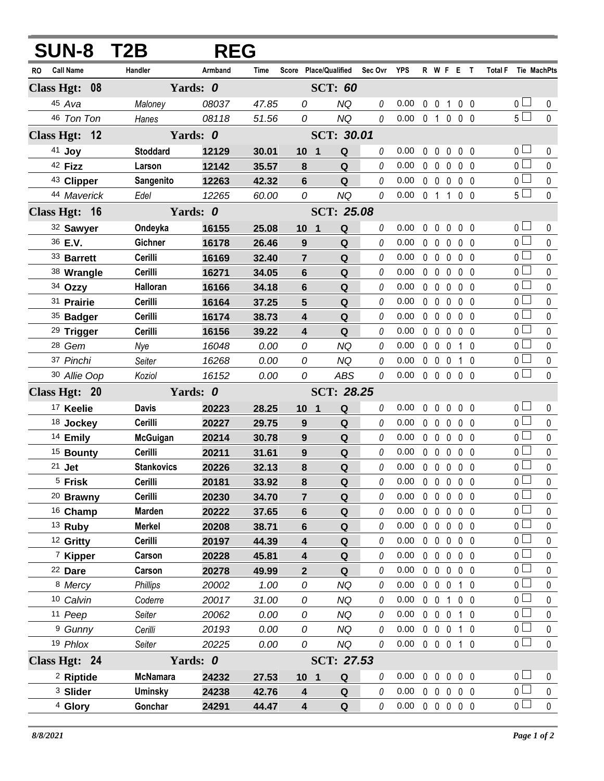| <b>SUN-8 T2B</b>        |                   | <b>REG</b> |       |                         |                          |             |                            |                |                   |                   |                |                     |                |              |
|-------------------------|-------------------|------------|-------|-------------------------|--------------------------|-------------|----------------------------|----------------|-------------------|-------------------|----------------|---------------------|----------------|--------------|
| <b>Call Name</b><br>RO. | Handler           | Armband    | Time  |                         | Score Place/Qualified    | Sec Ovr YPS |                            |                |                   | R W F E T         |                | Total F Tie MachPts |                |              |
| Class Hgt: 08           |                   | Yards: 0   |       | <b>SCT: 60</b>          |                          |             |                            |                |                   |                   |                |                     |                |              |
| 45 Ava                  | Maloney           | 08037      | 47.85 | 0                       | <b>NQ</b>                | 0           | 0.00                       | 0              | $\mathbf 0$       | $\mathbf{1}$      | 0 <sub>0</sub> |                     | 0 <sup>1</sup> | $\mathbf{0}$ |
| 46 Ton Ton              | Hanes             | 08118      | 51.56 | 0                       | <b>NQ</b>                | $\theta$    | 0.00                       | 0 <sub>1</sub> |                   | $0\quad 0\quad 0$ |                |                     | 5 <sub>1</sub> | $\mathbf 0$  |
| Class Hgt: 12           |                   | Yards: 0   |       |                         | <b>SCT: 30.01</b>        |             |                            |                |                   |                   |                |                     |                |              |
| 41 Joy                  | <b>Stoddard</b>   | 12129      | 30.01 | 10 <sub>1</sub>         | Q                        | 0           | 0.00                       | $\mathbf{0}$   | $\mathbf{0}$      | 0                 | $0\quad 0$     |                     | 0 <sub>0</sub> | 0            |
| 42 Fizz                 | Larson            | 12142      | 35.57 | 8                       | ${\bf Q}$                | 0           | 0.00                       | $\mathbf 0$    | $\overline{0}$    | $\mathbf 0$       | 0 <sub>0</sub> |                     | $\overline{0}$ | $\pmb{0}$    |
| 43 Clipper              | Sangenito         | 12263      | 42.32 | $6\phantom{1}$          | Q                        | 0           | 0.00                       | $0\quad 0$     |                   | $\mathbf 0$       | 0 <sub>0</sub> |                     | 0 <sub>1</sub> | $\pmb{0}$    |
| 44 Maverick             | Edel              | 12265      | 60.00 | 0                       | <b>NQ</b>                | $\theta$    | 0.00                       |                | 0 1 1             |                   | 0 <sub>0</sub> |                     | $5\Box$        | $\mathbf 0$  |
| Class Hgt: 16           |                   | Yards: 0   |       | <b>SCT: 25.08</b>       |                          |             |                            |                |                   |                   |                |                     |                |              |
| 32 Sawyer               | Ondeyka           | 16155      | 25.08 | 10                      | ${\bf Q}$<br>$\mathbf 1$ | 0           | 0.00                       | 0              | $\mathbf 0$       | 0                 | 0 <sub>0</sub> |                     | 0 <sub>1</sub> | 0            |
| 36 E.V.                 | Gichner           | 16178      | 26.46 | 9                       | Q                        | 0           | 0.00                       | $0\quad 0$     |                   | $\mathbf 0$       | 0 <sub>0</sub> |                     | $\overline{0}$ | $\mathbf 0$  |
| 33 Barrett              | Cerilli           | 16169      | 32.40 | $\overline{7}$          | ${\bf Q}$                | 0           | 0.00                       | $0\quad 0$     |                   | $\mathbf 0$       | 0 <sub>0</sub> |                     | $\overline{0}$ | $\mathbf 0$  |
| 38 Wrangle              | Cerilli           | 16271      | 34.05 | 6                       | ${\bf Q}$                | 0           | 0.00                       | $0\quad 0$     |                   | $\mathbf 0$       | 0 <sub>0</sub> |                     | $\overline{0}$ | $\pmb{0}$    |
| 34 Ozzy                 | Halloran          | 16166      | 34.18 | 6                       | Q                        | 0           | 0.00                       | $0\quad 0$     |                   | $\mathbf 0$       | 0 <sub>0</sub> |                     | $\overline{0}$ | $\mathbf 0$  |
| 31 Prairie              | Cerilli           | 16164      | 37.25 | 5                       | Q                        | 0           | 0.00                       | $0\quad 0$     |                   | $\mathbf{0}$      | 0 <sub>0</sub> |                     | $\overline{0}$ | $\mathbf 0$  |
| 35 Badger               | Cerilli           | 16174      | 38.73 | 4                       | ${\bf Q}$                | 0           | 0.00                       | $0\quad 0$     |                   | $\mathbf 0$       | 0 <sub>0</sub> |                     | 0 <sub>1</sub> | $\mathbf 0$  |
| <sup>29</sup> Trigger   | Cerilli           | 16156      | 39.22 | 4                       | Q                        | 0           | 0.00                       | $\mathbf 0$    | $\mathbf 0$       | $\mathbf 0$       | 0 <sub>0</sub> |                     | $\overline{0}$ | $\mathbf 0$  |
| <sup>28</sup> Gem       | Nye               | 16048      | 0.00  | 0                       | <b>NQ</b>                | 0           | 0.00                       | $0\quad 0$     |                   | $\mathbf 0$       | $1\quad0$      |                     | 0              | $\pmb{0}$    |
| 37 Pinchi               | Seiter            | 16268      | 0.00  | 0                       | <b>NQ</b>                | 0           | 0.00                       | $0\quad 0$     |                   | $\mathbf 0$       | $1\quad0$      |                     | $\overline{0}$ | $\pmb{0}$    |
| 30 Allie Oop            | Koziol            | 16152      | 0.00  | 0                       | <b>ABS</b>               | $\it{0}$    | 0.00                       |                | $0\quad 0\quad 0$ |                   | $0\quad 0$     |                     | $\overline{0}$ | $\mathbf 0$  |
| Class Hgt: 20           |                   | Yards: 0   |       |                         | <b>SCT: 28.25</b>        |             |                            |                |                   |                   |                |                     |                |              |
| <sup>17</sup> Keelie    | <b>Davis</b>      | 20223      | 28.25 | 10 <sub>1</sub>         | Q                        | 0           | 0.00                       | $\mathbf{0}$   | $\mathbf 0$       | $\mathbf 0$       | 0 <sub>0</sub> |                     | 0 <sub>0</sub> | 0            |
| 18 Jockey               | Cerilli           | 20227      | 29.75 | 9                       | Q                        | 0           | 0.00                       | $0\quad 0$     |                   | $\mathbf 0$       | 0 <sub>0</sub> |                     | $\overline{0}$ | $\mathbf 0$  |
| 14 Emily                | <b>McGuigan</b>   | 20214      | 30.78 | 9                       | ${\bf Q}$                | 0           | 0.00                       | $0\quad 0$     |                   | $\mathbf 0$       | 0 <sub>0</sub> |                     | $\overline{0}$ | $\pmb{0}$    |
| <sup>15</sup> Bounty    | Cerilli           | 20211      | 31.61 | 9                       | Q                        | 0           | 0.00                       | $0\quad 0$     |                   | $\mathbf{0}$      | 0 <sub>0</sub> |                     | 0 <sub>0</sub> | $\mathbf 0$  |
| 21 Jet                  | <b>Stankovics</b> | 20226      | 32.13 | 8                       | Q                        | 0           | 0.00                       |                | $0\quad 0\quad 0$ |                   | $0\quad 0$     |                     | $\overline{0}$ | $\pmb{0}$    |
| <sup>5</sup> Frisk      | Cerilli           | 20181      | 33.92 | 8                       | Q                        | 0           | 0.00                       |                |                   | 00000             |                |                     | $\overline{0}$ | 0            |
| <sup>20</sup> Brawny    | Cerilli           | 20230      | 34.70 | 7                       | Q                        | 0           | 0.00                       | $0\quad 0$     |                   | $\mathbf 0$       | $0\quad 0$     |                     | $\overline{0}$ | $\pmb{0}$    |
| <sup>16</sup> Champ     | <b>Marden</b>     | 20222      | 37.65 | 6                       | Q                        | 0           | 0.00                       |                |                   | 00000             |                |                     | 0 <sub>1</sub> | $\mathbf 0$  |
| $13$ Ruby               | <b>Merkel</b>     | 20208      | 38.71 | 6                       | Q                        | 0           | 0.00                       |                |                   | 00000             |                |                     | 0 <sub>1</sub> | $\mathbf 0$  |
| <sup>12</sup> Gritty    | Cerilli           | 20197      | 44.39 | 4                       | Q                        | 0           | 0.00                       |                | $0\quad 0$        | $\mathbf 0$       | $0\quad 0$     |                     | 0 <sub>0</sub> | 0            |
| <sup>7</sup> Kipper     | Carson            | 20228      | 45.81 | 4                       | Q                        | 0           | 0.00                       |                | $0\quad 0$        | $0\quad 0\quad 0$ |                |                     | 0 <sub>1</sub> | $\pmb{0}$    |
| <sup>22</sup> Dare      | Carson            | 20278      | 49.99 | 2                       | Q                        | 0           | 0.00                       |                | $0\quad 0$        | $\mathbf 0$       | $0\quad 0$     |                     | 0 L            | 0            |
| 8 Mercy                 | <b>Phillips</b>   | 20002      | 1.00  | 0                       | <b>NQ</b>                | 0           | 0.00                       |                | $0\quad 0\quad 0$ |                   | $1\quad0$      |                     | 0 <sub>1</sub> | $\pmb{0}$    |
| 10 Calvin               | Coderre           | 20017      | 31.00 | 0                       | <b>NQ</b>                | 0           | 0.00                       |                |                   | 0 0 1 0 0         |                |                     | 0 <sub>0</sub> | 0            |
| 11 Peep                 | Seiter            | 20062      | 0.00  | 0                       | <b>NQ</b>                | 0           | 0.00                       |                | $0\quad 0\quad 0$ |                   | 10             |                     | 0 <sub>l</sub> | $\pmb{0}$    |
| <sup>9</sup> Gunny      | Cerilli           | 20193      | 0.00  | 0                       | <b>NQ</b>                | 0           | 0.00                       |                |                   | 0 0 0 1 0         |                |                     | 0 <sub>0</sub> | 0            |
| 19 Phlox                | Seiter            | 20225      | 0.00  | 0                       | NQ                       | 0           | $0.00 \t0 \t0 \t0 \t1 \t0$ |                |                   |                   |                |                     | 0 <sub>0</sub> | $\pmb{0}$    |
| Class Hgt: 24           |                   | Yards: 0   |       |                         | SCT: 27.53               |             |                            |                |                   |                   |                |                     |                |              |
| <sup>2</sup> Riptide    | <b>McNamara</b>   | 24232      | 27.53 | 10 <sub>1</sub>         | Q                        | 0           | 0.00                       |                |                   | 00000             |                |                     | 0 <sub>0</sub> | 0            |
| <sup>3</sup> Slider     | <b>Uminsky</b>    | 24238      | 42.76 | 4                       | Q                        | 0           | 0.00                       |                |                   | 00000             |                |                     | 0 <sub>0</sub> | $\pmb{0}$    |
| <sup>4</sup> Glory      | Gonchar           | 24291      | 44.47 | $\overline{\mathbf{4}}$ | Q                        | 0           | 0.00                       |                |                   | 00000             |                |                     | 0 <sub>0</sub> | $\mathbf 0$  |